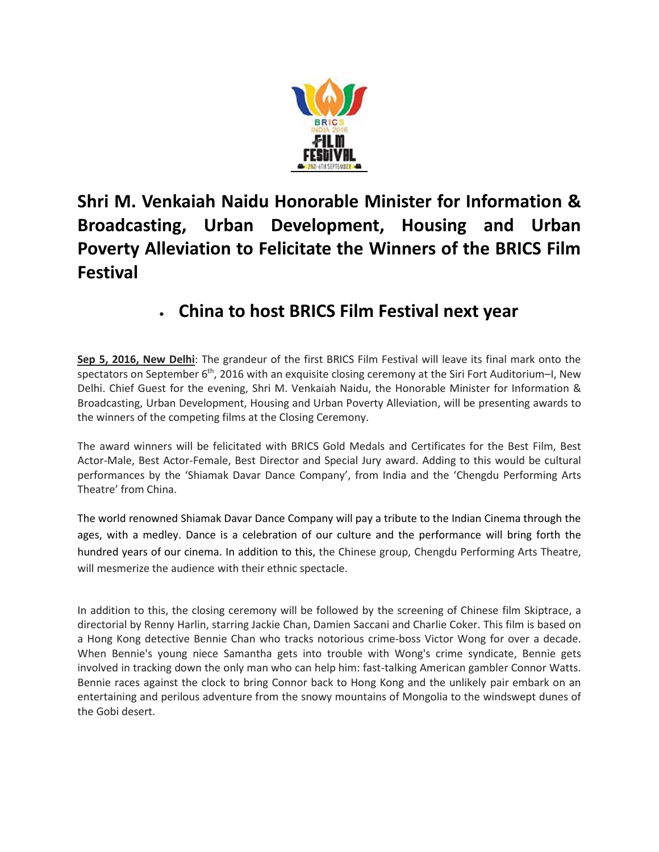

**Shri M. Venkaiah Naidu Honorable Minister for Information & Broadcasting, Urban Development, Housing and Urban Poverty Alleviation to Felicitate the Winners of the BRICS Film Festival**

## **China to host BRICS Film Festival next year**

**Sep 5, 2016, New Delhi**: The grandeur of the first BRICS Film Festival will leave its final mark onto the spectators on September  $6<sup>th</sup>$ , 2016 with an exquisite closing ceremony at the Siri Fort Auditorium–I, New Delhi. Chief Guest for the evening, Shri M. Venkaiah Naidu, the Honorable Minister for Information & Broadcasting, Urban Development, Housing and Urban Poverty Alleviation, will be presenting awards to the winners of the competing films at the Closing Ceremony.

The award winners will be felicitated with BRICS Gold Medals and Certificates for the Best Film, Best Actor-Male, Best Actor-Female, Best Director and Special Jury award. Adding to this would be cultural performances by the 'Shiamak Davar Dance Company', from India and the 'Chengdu Performing Arts Theatre' from China.

The world renowned Shiamak Davar Dance Company will pay a tribute to the Indian Cinema through the ages, with a medley. Dance is a celebration of our culture and the performance will bring forth the hundred years of our cinema. In addition to this, the Chinese group, Chengdu Performing Arts Theatre, will mesmerize the audience with their ethnic spectacle.

In addition to this, the closing ceremony will be followed by the screening of Chinese film Skiptrace, a directorial by Renny Harlin, starring Jackie Chan, Damien Saccani and Charlie Coker. This film is based on a Hong Kong detective Bennie Chan who tracks notorious crime-boss Victor Wong for over a decade. When Bennie's young niece Samantha gets into trouble with Wong's crime syndicate, Bennie gets involved in tracking down the only man who can help him: fast-talking American gambler Connor Watts. Bennie races against the clock to bring Connor back to Hong Kong and the unlikely pair embark on an entertaining and perilous adventure from the snowy mountains of Mongolia to the windswept dunes of the Gobi desert.